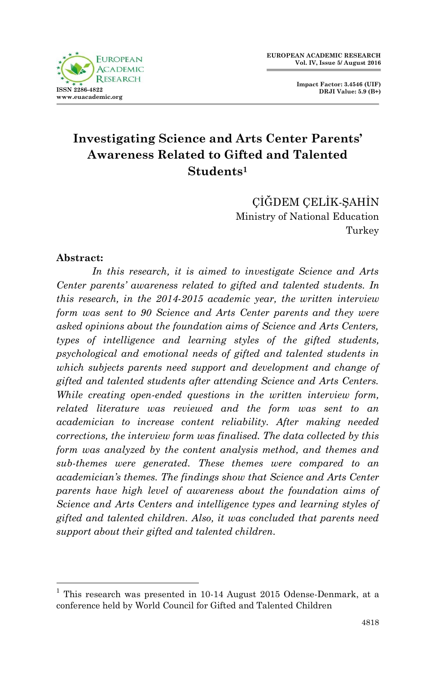



# **Investigating Science and Arts Center Parents' Awareness Related to Gifted and Talented Students<sup>1</sup>**

ÇİĞDEM ÇELİK-ŞAHİN Ministry of National Education Turkey

#### **Abstract:**

.

 *In this research, it is aimed to investigate Science and Arts Center parents' awareness related to gifted and talented students. In this research, in the 2014-2015 academic year, the written interview form was sent to 90 Science and Arts Center parents and they were asked opinions about the foundation aims of Science and Arts Centers, types of intelligence and learning styles of the gifted students, psychological and emotional needs of gifted and talented students in which subjects parents need support and development and change of gifted and talented students after attending Science and Arts Centers. While creating open-ended questions in the written interview form, related literature was reviewed and the form was sent to an academician to increase content reliability. After making needed corrections, the interview form was finalised. The data collected by this form was analyzed by the content analysis method, and themes and sub-themes were generated. These themes were compared to an academician's themes. The findings show that Science and Arts Center parents have high level of awareness about the foundation aims of Science and Arts Centers and intelligence types and learning styles of gifted and talented children. Also, it was concluded that parents need support about their gifted and talented children.*

<sup>1</sup> This research was presented in 10-14 August 2015 Odense-Denmark, at a conference held by World Council for Gifted and Talented Children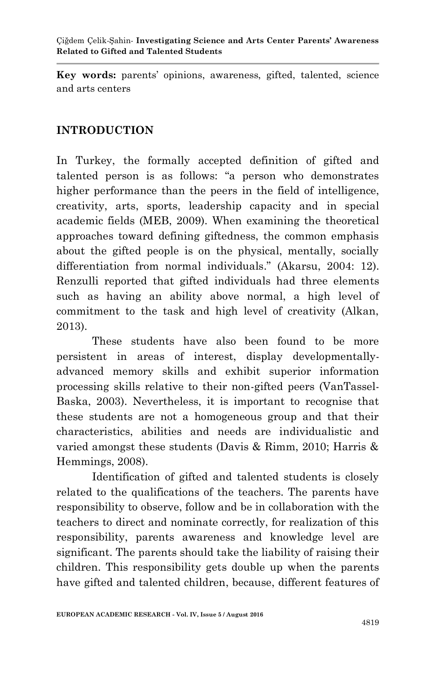**Key words:** parents" opinions, awareness, gifted, talented, science and arts centers

# **INTRODUCTION**

In Turkey, the formally accepted definition of gifted and talented person is as follows: "a person who demonstrates higher performance than the peers in the field of intelligence, creativity, arts, sports, leadership capacity and in special academic fields (MEB, 2009). When examining the theoretical approaches toward defining giftedness, the common emphasis about the gifted people is on the physical, mentally, socially differentiation from normal individuals." (Akarsu, 2004: 12). Renzulli reported that gifted individuals had three elements such as having an ability above normal, a high level of commitment to the task and high level of creativity (Alkan, 2013).

These students have also been found to be more persistent in areas of interest, display developmentallyadvanced memory skills and exhibit superior information processing skills relative to their non-gifted peers (VanTassel-Baska, 2003). Nevertheless, it is important to recognise that these students are not a homogeneous group and that their characteristics, abilities and needs are individualistic and varied amongst these students (Davis & Rimm, 2010; Harris & Hemmings, 2008).

Identification of gifted and talented students is closely related to the qualifications of the teachers. The parents have responsibility to observe, follow and be in collaboration with the teachers to direct and nominate correctly, for realization of this responsibility, parents awareness and knowledge level are significant. The parents should take the liability of raising their children. This responsibility gets double up when the parents have gifted and talented children, because, different features of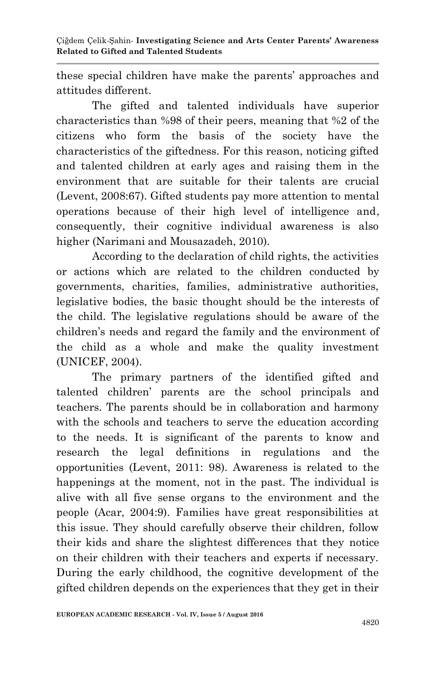these special children have make the parents" approaches and attitudes different.

The gifted and talented individuals have superior characteristics than %98 of their peers, meaning that %2 of the citizens who form the basis of the society have the characteristics of the giftedness. For this reason, noticing gifted and talented children at early ages and raising them in the environment that are suitable for their talents are crucial (Levent, 2008:67). Gifted students pay more attention to mental operations because of their high level of intelligence and, consequently, their cognitive individual awareness is also higher (Narimani and Mousazadeh, 2010).

According to the declaration of child rights, the activities or actions which are related to the children conducted by governments, charities, families, administrative authorities, legislative bodies, the basic thought should be the interests of the child. The legislative regulations should be aware of the children"s needs and regard the family and the environment of the child as a whole and make the quality investment (UNICEF, 2004).

The primary partners of the identified gifted and talented children" parents are the school principals and teachers. The parents should be in collaboration and harmony with the schools and teachers to serve the education according to the needs. It is significant of the parents to know and research the legal definitions in regulations and the opportunities (Levent, 2011: 98). Awareness is related to the happenings at the moment, not in the past. The individual is alive with all five sense organs to the environment and the people (Acar, 2004:9). Families have great responsibilities at this issue. They should carefully observe their children, follow their kids and share the slightest differences that they notice on their children with their teachers and experts if necessary. During the early childhood, the cognitive development of the gifted children depends on the experiences that they get in their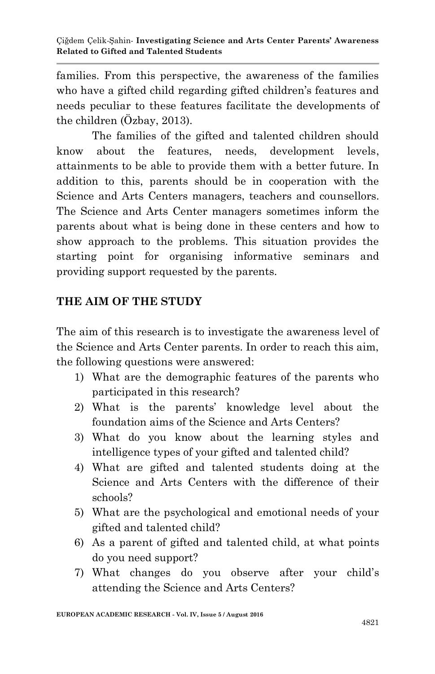families. From this perspective, the awareness of the families who have a gifted child regarding gifted children's features and needs peculiar to these features facilitate the developments of the children (Özbay, 2013).

The families of the gifted and talented children should know about the features, needs, development levels, attainments to be able to provide them with a better future. In addition to this, parents should be in cooperation with the Science and Arts Centers managers, teachers and counsellors. The Science and Arts Center managers sometimes inform the parents about what is being done in these centers and how to show approach to the problems. This situation provides the starting point for organising informative seminars and providing support requested by the parents.

# **THE AIM OF THE STUDY**

The aim of this research is to investigate the awareness level of the Science and Arts Center parents. In order to reach this aim, the following questions were answered:

- 1) What are the demographic features of the parents who participated in this research?
- 2) What is the parents" knowledge level about the foundation aims of the Science and Arts Centers?
- 3) What do you know about the learning styles and intelligence types of your gifted and talented child?
- 4) What are gifted and talented students doing at the Science and Arts Centers with the difference of their schools?
- 5) What are the psychological and emotional needs of your gifted and talented child?
- 6) As a parent of gifted and talented child, at what points do you need support?
- 7) What changes do you observe after your child"s attending the Science and Arts Centers?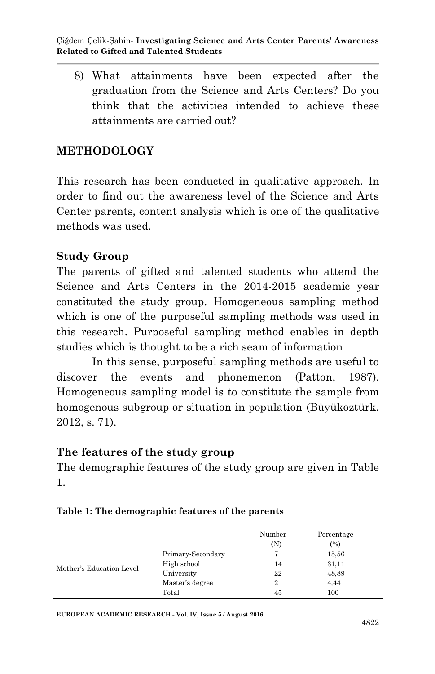8) What attainments have been expected after the graduation from the Science and Arts Centers? Do you think that the activities intended to achieve these attainments are carried out?

### **METHODOLOGY**

This research has been conducted in qualitative approach. In order to find out the awareness level of the Science and Arts Center parents, content analysis which is one of the qualitative methods was used.

### **Study Group**

The parents of gifted and talented students who attend the Science and Arts Centers in the 2014-2015 academic year constituted the study group. Homogeneous sampling method which is one of the purposeful sampling methods was used in this research. Purposeful sampling method enables in depth studies which is thought to be a rich seam of information

In this sense, purposeful sampling methods are useful to discover the events and phonemenon (Patton, 1987). Homogeneous sampling model is to constitute the sample from homogenous subgroup or situation in population (Büyüköztürk, 2012, s. 71).

### **The features of the study group**

The demographic features of the study group are given in Table 1.

|                          |                   | Number<br>(N) | Percentage<br>(%) |  |
|--------------------------|-------------------|---------------|-------------------|--|
| Mother's Education Level | Primary-Secondary |               | 15,56             |  |
|                          | High school       | 14            | 31,11             |  |
|                          | University        | 22            | 48,89             |  |
|                          | Master's degree   | 2             | 4,44              |  |
|                          | Total             | 45            | 100               |  |

#### **Table 1: The demographic features of the parents**

**EUROPEAN ACADEMIC RESEARCH - Vol. IV, Issue 5 / August 2016**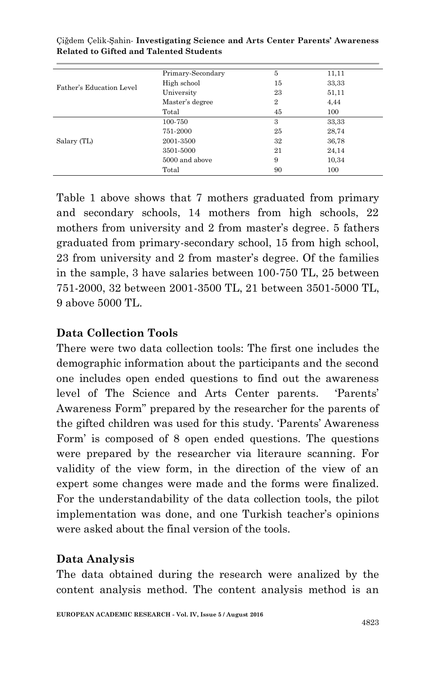| Father's Education Level | Primary-Secondary | 5              | 11,11 |  |
|--------------------------|-------------------|----------------|-------|--|
|                          | High school       | 15             | 33,33 |  |
|                          | University        | 23             | 51,11 |  |
|                          | Master's degree   | $\overline{2}$ | 4,44  |  |
|                          | Total             | 45             | 100   |  |
| Salary (TL)              | 100-750           | 3              | 33,33 |  |
|                          | 751-2000          | 25             | 28,74 |  |
|                          | 2001-3500         | 32             | 36,78 |  |
|                          | 3501-5000         | 21             | 24,14 |  |
|                          | 5000 and above    | 9              | 10,34 |  |
|                          | Total             | 90             | 100   |  |

Çiğdem Çelik-ġahin*-* **Investigating Science and Arts Center Parents' Awareness Related to Gifted and Talented Students**

Table 1 above shows that 7 mothers graduated from primary and secondary schools, 14 mothers from high schools, 22 mothers from university and 2 from master's degree. 5 fathers graduated from primary-secondary school, 15 from high school, 23 from university and 2 from master's degree. Of the families in the sample, 3 have salaries between 100-750 TL, 25 between 751-2000, 32 between 2001-3500 TL, 21 between 3501-5000 TL, 9 above 5000 TL.

# **Data Collection Tools**

There were two data collection tools: The first one includes the demographic information about the participants and the second one includes open ended questions to find out the awareness level of The Science and Arts Center parents. "Parents" Awareness Form" prepared by the researcher for the parents of the gifted children was used for this study. "Parents" Awareness Form" is composed of 8 open ended questions. The questions were prepared by the researcher via literaure scanning. For validity of the view form, in the direction of the view of an expert some changes were made and the forms were finalized. For the understandability of the data collection tools, the pilot implementation was done, and one Turkish teacher's opinions were asked about the final version of the tools.

### **Data Analysis**

The data obtained during the research were analized by the content analysis method. The content analysis method is an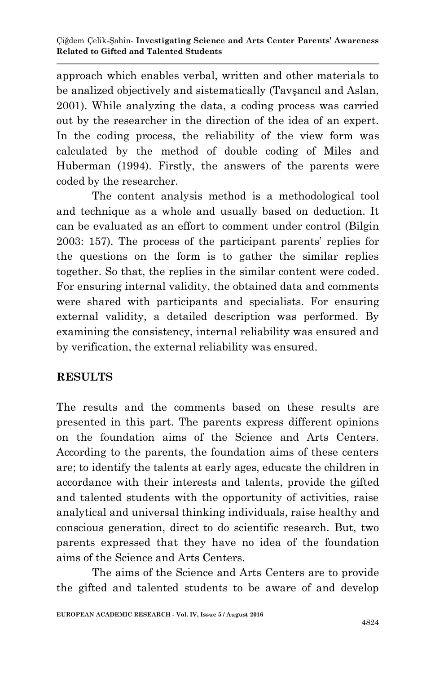approach which enables verbal, written and other materials to be analized objectively and sistematically (Tavsancil and Aslan, 2001). While analyzing the data, a coding process was carried out by the researcher in the direction of the idea of an expert. In the coding process, the reliability of the view form was calculated by the method of double coding of Miles and Huberman (1994). Firstly, the answers of the parents were coded by the researcher.

The content analysis method is a methodological tool and technique as a whole and usually based on deduction. It can be evaluated as an effort to comment under control (Bilgin 2003: 157). The process of the participant parents" replies for the questions on the form is to gather the similar replies together. So that, the replies in the similar content were coded. For ensuring internal validity, the obtained data and comments were shared with participants and specialists. For ensuring external validity, a detailed description was performed. By examining the consistency, internal reliability was ensured and by verification, the external reliability was ensured.

# **RESULTS**

The results and the comments based on these results are presented in this part. The parents express different opinions on the foundation aims of the Science and Arts Centers. According to the parents, the foundation aims of these centers are; to identify the talents at early ages, educate the children in accordance with their interests and talents, provide the gifted and talented students with the opportunity of activities, raise analytical and universal thinking individuals, raise healthy and conscious generation, direct to do scientific research. But, two parents expressed that they have no idea of the foundation aims of the Science and Arts Centers.

The aims of the Science and Arts Centers are to provide the gifted and talented students to be aware of and develop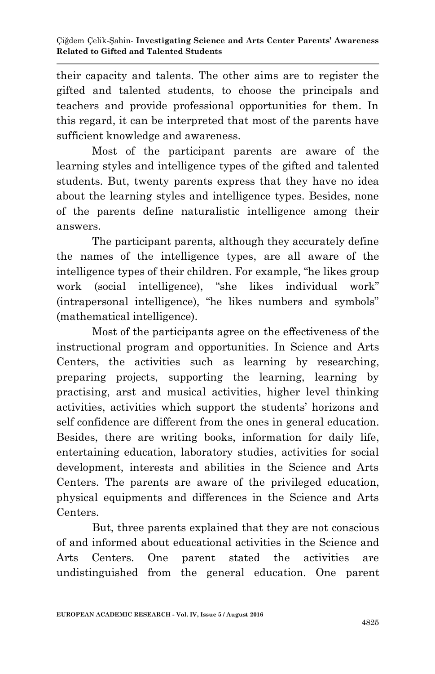their capacity and talents. The other aims are to register the gifted and talented students, to choose the principals and teachers and provide professional opportunities for them. In this regard, it can be interpreted that most of the parents have sufficient knowledge and awareness.

Most of the participant parents are aware of the learning styles and intelligence types of the gifted and talented students. But, twenty parents express that they have no idea about the learning styles and intelligence types. Besides, none of the parents define naturalistic intelligence among their answers.

The participant parents, although they accurately define the names of the intelligence types, are all aware of the intelligence types of their children. For example, "he likes group work (social intelligence), "she likes individual work" (intrapersonal intelligence), "he likes numbers and symbols" (mathematical intelligence).

Most of the participants agree on the effectiveness of the instructional program and opportunities. In Science and Arts Centers, the activities such as learning by researching, preparing projects, supporting the learning, learning by practising, arst and musical activities, higher level thinking activities, activities which support the students" horizons and self confidence are different from the ones in general education. Besides, there are writing books, information for daily life, entertaining education, laboratory studies, activities for social development, interests and abilities in the Science and Arts Centers. The parents are aware of the privileged education, physical equipments and differences in the Science and Arts Centers.

But, three parents explained that they are not conscious of and informed about educational activities in the Science and Arts Centers. One parent stated the activities are undistinguished from the general education. One parent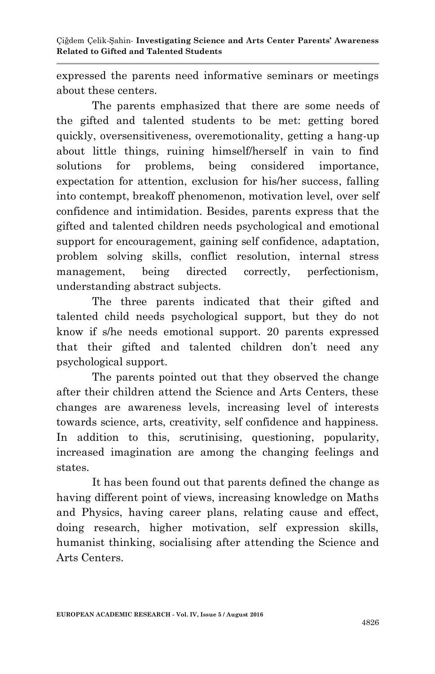expressed the parents need informative seminars or meetings about these centers.

The parents emphasized that there are some needs of the gifted and talented students to be met: getting bored quickly, oversensitiveness, overemotionality, getting a hang-up about little things, ruining himself/herself in vain to find solutions for problems, being considered importance, expectation for attention, exclusion for his/her success, falling into contempt, breakoff phenomenon, motivation level, over self confidence and intimidation. Besides, parents express that the gifted and talented children needs psychological and emotional support for encouragement, gaining self confidence, adaptation, problem solving skills, conflict resolution, internal stress management, being directed correctly, perfectionism, understanding abstract subjects.

The three parents indicated that their gifted and talented child needs psychological support, but they do not know if s/he needs emotional support. 20 parents expressed that their gifted and talented children don"t need any psychological support.

The parents pointed out that they observed the change after their children attend the Science and Arts Centers, these changes are awareness levels, increasing level of interests towards science, arts, creativity, self confidence and happiness. In addition to this, scrutinising, questioning, popularity, increased imagination are among the changing feelings and states.

It has been found out that parents defined the change as having different point of views, increasing knowledge on Maths and Physics, having career plans, relating cause and effect, doing research, higher motivation, self expression skills, humanist thinking, socialising after attending the Science and Arts Centers.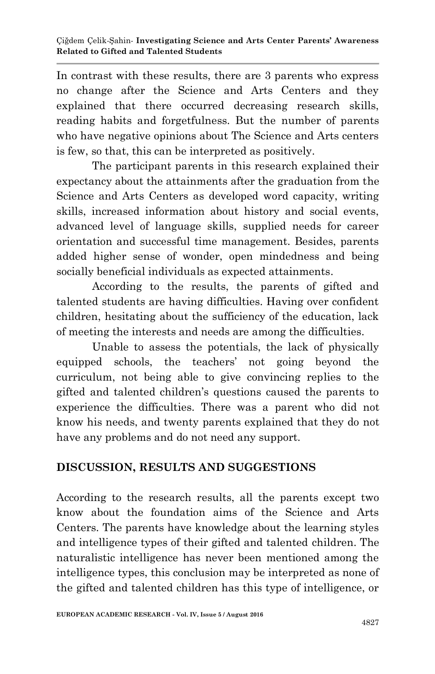In contrast with these results, there are 3 parents who express no change after the Science and Arts Centers and they explained that there occurred decreasing research skills, reading habits and forgetfulness. But the number of parents who have negative opinions about The Science and Arts centers is few, so that, this can be interpreted as positively.

The participant parents in this research explained their expectancy about the attainments after the graduation from the Science and Arts Centers as developed word capacity, writing skills, increased information about history and social events, advanced level of language skills, supplied needs for career orientation and successful time management. Besides, parents added higher sense of wonder, open mindedness and being socially beneficial individuals as expected attainments.

According to the results, the parents of gifted and talented students are having difficulties. Having over confident children, hesitating about the sufficiency of the education, lack of meeting the interests and needs are among the difficulties.

Unable to assess the potentials, the lack of physically equipped schools, the teachers" not going beyond the curriculum, not being able to give convincing replies to the gifted and talented children"s questions caused the parents to experience the difficulties. There was a parent who did not know his needs, and twenty parents explained that they do not have any problems and do not need any support.

# **DISCUSSION, RESULTS AND SUGGESTIONS**

According to the research results, all the parents except two know about the foundation aims of the Science and Arts Centers. The parents have knowledge about the learning styles and intelligence types of their gifted and talented children. The naturalistic intelligence has never been mentioned among the intelligence types, this conclusion may be interpreted as none of the gifted and talented children has this type of intelligence, or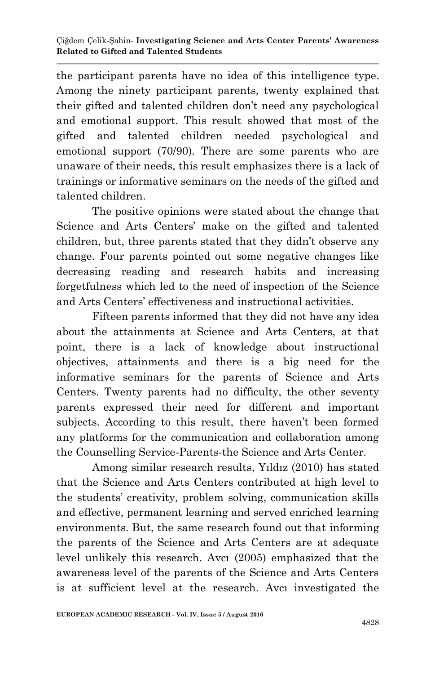the participant parents have no idea of this intelligence type. Among the ninety participant parents, twenty explained that their gifted and talented children don"t need any psychological and emotional support. This result showed that most of the gifted and talented children needed psychological and emotional support (70/90). There are some parents who are unaware of their needs, this result emphasizes there is a lack of trainings or informative seminars on the needs of the gifted and talented children.

The positive opinions were stated about the change that Science and Arts Centers" make on the gifted and talented children, but, three parents stated that they didn"t observe any change. Four parents pointed out some negative changes like decreasing reading and research habits and increasing forgetfulness which led to the need of inspection of the Science and Arts Centers" effectiveness and instructional activities.

Fifteen parents informed that they did not have any idea about the attainments at Science and Arts Centers, at that point, there is a lack of knowledge about instructional objectives, attainments and there is a big need for the informative seminars for the parents of Science and Arts Centers. Twenty parents had no difficulty, the other seventy parents expressed their need for different and important subjects. According to this result, there haven't been formed any platforms for the communication and collaboration among the Counselling Service-Parents-the Science and Arts Center.

Among similar research results, Yıldız (2010) has stated that the Science and Arts Centers contributed at high level to the students" creativity, problem solving, communication skills and effective, permanent learning and served enriched learning environments. But, the same research found out that informing the parents of the Science and Arts Centers are at adequate level unlikely this research. Avcı (2005) emphasized that the awareness level of the parents of the Science and Arts Centers is at sufficient level at the research. Avcı investigated the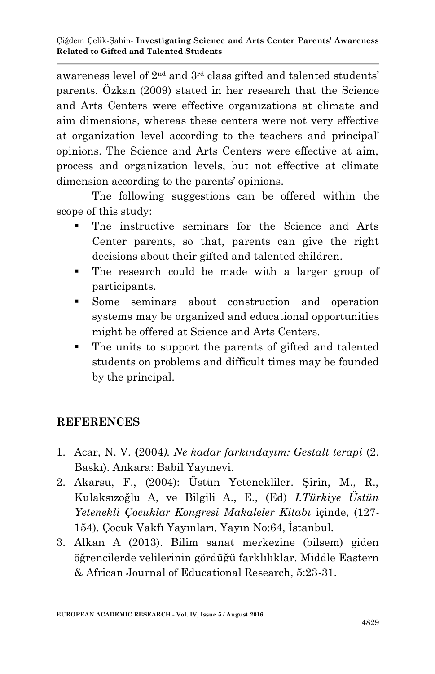awareness level of 2<sup>nd</sup> and 3<sup>rd</sup> class gifted and talented students' parents. Özkan (2009) stated in her research that the Science and Arts Centers were effective organizations at climate and aim dimensions, whereas these centers were not very effective at organization level according to the teachers and principal" opinions. The Science and Arts Centers were effective at aim, process and organization levels, but not effective at climate dimension according to the parents' opinions.

The following suggestions can be offered within the scope of this study:

- The instructive seminars for the Science and Arts Center parents, so that, parents can give the right decisions about their gifted and talented children.
- The research could be made with a larger group of participants.
- Some seminars about construction and operation systems may be organized and educational opportunities might be offered at Science and Arts Centers.
- The units to support the parents of gifted and talented students on problems and difficult times may be founded by the principal.

# **REFERENCES**

- 1. Acar, N. V. **(**2004*). Ne kadar farkındayım: Gestalt terapi* (2. Baskı). Ankara: Babil Yayınevi.
- 2. Akarsu, F., (2004): Üstün Yetenekliler. ġirin, M., R., Kulaksızoğlu A, ve Bilgili A., E., (Ed) *I.Türkiye Üstün Yetenekli Çocuklar Kongresi Makaleler Kitabı* içinde, (127- 154). Çocuk Vakfı Yayınları, Yayın No:64, Istanbul.
- 3. Alkan A (2013). Bilim sanat merkezine (bilsem) giden öğrencilerde velilerinin gördüğü farklılıklar. Middle Eastern & African Journal of Educational Research, 5:23-31.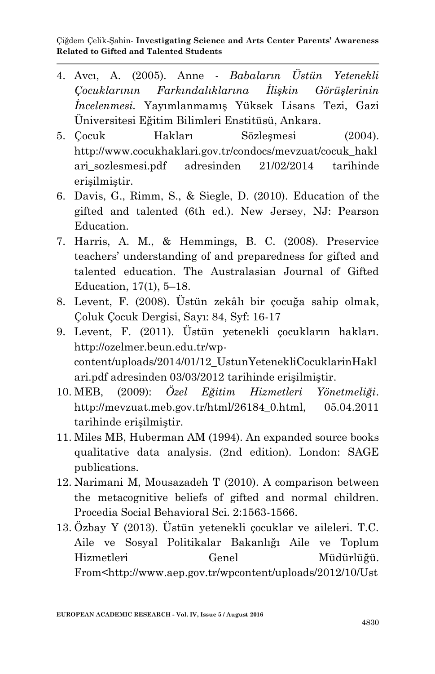- 4. Avcı, A. (2005). Anne *Babaların Üstün Yetenekli Çocuklarının Farkındalıklarına İlişkin Görüşlerinin Incelenmesi.* Yayımlanmamış Yüksek Lisans Tezi, Gazi Üniversitesi Eğitim Bilimleri Enstitüsü, Ankara.
- 5. Cocuk Hakları Sözlesmesi (2004). http://www.cocukhaklari.gov.tr/condocs/mevzuat/cocuk\_hakl ari\_sozlesmesi.pdf adresinden 21/02/2014 tarihinde erişilmiştir.
- 6. Davis, G., Rimm, S., & Siegle, D. (2010). Education of the gifted and talented (6th ed.). New Jersey, NJ: Pearson Education.
- 7. Harris, A. M., & Hemmings, B. C. (2008). Preservice teachers" understanding of and preparedness for gifted and talented education. The Australasian Journal of Gifted Education, 17(1), 5–18.
- 8. Levent, F. (2008). Üstün zekâlı bir çocuğa sahip olmak, Çoluk Çocuk Dergisi, Sayı: 84, Syf: 16-17
- 9. Levent, F. (2011). Üstün yetenekli çocukların hakları. http://ozelmer.beun.edu.tr/wpcontent/uploads/2014/01/12\_UstunYetenekliCocuklarinHakl ari.pdf adresinden 03/03/2012 tarihinde erişilmiştir.
- 10. MEB, (2009): *Özel Eğitim Hizmetleri Yönetmeliği*. http://mevzuat.meb.gov.tr/html/26184\_0.html, 05.04.2011 tarihinde erişilmiştir.
- 11. Miles MB, Huberman AM (1994). An expanded source books qualitative data analysis. (2nd edition). London: SAGE publications.
- 12. Narimani M, Mousazadeh T (2010). A comparison between the metacognitive beliefs of gifted and normal children. Procedia Social Behavioral Sci. 2:1563-1566.
- 13. Özbay Y (2013). Üstün yetenekli çocuklar ve aileleri. T.C. Aile ve Sosyal Politikalar Bakanlığı Aile ve Toplum Hizmetleri Genel Müdürlüğü. From<http://www.aep.gov.tr/wpcontent/uploads/2012/10/Ust